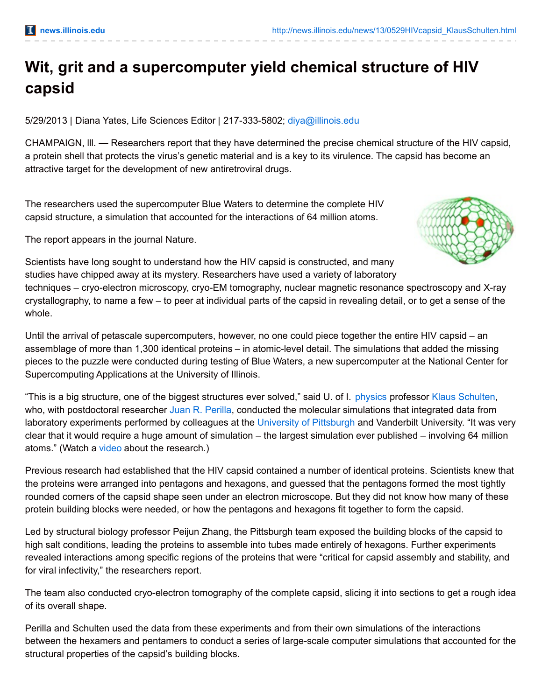## **Wit, grit and a supercomputer yield chemical structure of HIV capsid**

5/29/2013 | Diana Yates, Life Sciences Editor | 217-333-5802; [diya@illinois.edu](mailto:diya@illinois.edu)

CHAMPAIGN, lll. — Researchers report that they have determined the precise chemical structure of the HIV capsid, a protein shell that protects the virus's genetic material and is a key to its virulence. The capsid has become an attractive target for the development of new antiretroviral drugs.

The researchers used the supercomputer Blue Waters to determine the complete HIV capsid structure, a simulation that accounted for the interactions of 64 million atoms.

The report appears in the journal Nature.



Scientists have long sought to understand how the HIV capsid is constructed, and many studies have chipped away at its mystery. Researchers have used a variety of laboratory

techniques – cryo-electron microscopy, cryo-EM tomography, nuclear magnetic resonance spectroscopy and X-ray crystallography, to name a few – to peer at individual parts of the capsid in revealing detail, or to get a sense of the whole.

Until the arrival of petascale supercomputers, however, no one could piece together the entire HIV capsid – an assemblage of more than 1,300 identical proteins – in atomic-level detail. The simulations that added the missing pieces to the puzzle were conducted during testing of Blue Waters, a new supercomputer at the National Center for Supercomputing Applications at the University of Illinois.

"This is a big structure, one of the biggest structures ever solved," said U. of I. [physics](http://physics.illinois.edu/) professor Klaus [Schulten](http://physics.illinois.edu/people/profile.asp?schulten), who, with postdoctoral researcher Juan R. [Perilla](http://www.ks.uiuc.edu/~juan/), conducted the molecular simulations that integrated data from laboratory experiments performed by colleagues at the University of [Pittsburgh](http://www.hivppi.pitt.edu/) and Vanderbilt University. "It was very clear that it would require a huge amount of simulation – the largest simulation ever published – involving 64 million atoms." (Watch a [video](http://www.youtube.com/watch?v=pupVZl347H0&feature=em-share_video_user) about the research.)

Previous research had established that the HIV capsid contained a number of identical proteins. Scientists knew that the proteins were arranged into pentagons and hexagons, and guessed that the pentagons formed the most tightly rounded corners of the capsid shape seen under an electron microscope. But they did not know how many of these protein building blocks were needed, or how the pentagons and hexagons fit together to form the capsid.

Led by structural biology professor Peijun Zhang, the Pittsburgh team exposed the building blocks of the capsid to high salt conditions, leading the proteins to assemble into tubes made entirely of hexagons. Further experiments revealed interactions among specific regions of the proteins that were "critical for capsid assembly and stability, and for viral infectivity," the researchers report.

The team also conducted cryo-electron tomography of the complete capsid, slicing it into sections to get a rough idea of its overall shape.

Perilla and Schulten used the data from these experiments and from their own simulations of the interactions between the hexamers and pentamers to conduct a series of large-scale computer simulations that accounted for the structural properties of the capsid's building blocks.